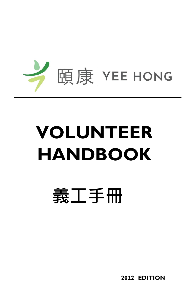

# **VOLUNTEER HANDBOOK**

# **義工手冊**

 **2022 EDITION**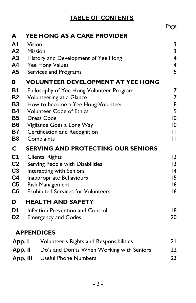# **TABLE OF CONTENTS**

|                        |                                                                      | Page                         |
|------------------------|----------------------------------------------------------------------|------------------------------|
| A                      | YEE HONG AS A CARE PROVIDER                                          |                              |
| A1<br>A2               | Vision<br><b>Mission</b>                                             | 3<br>$\overline{\mathbf{3}}$ |
| A3                     | History and Development of Yee Hong                                  | $\overline{4}$               |
| A4                     | Yee Hong Values                                                      | $\overline{\mathbf{4}}$<br>5 |
| A5                     | Services and Programs                                                |                              |
| B                      | <b>VOLUNTEER DEVELOPMENT AT YEE HONG</b>                             |                              |
| <b>B1</b><br><b>B2</b> | Philosophy of Yee Hong Volunteer Program<br>Volunteering at a Glance | 7<br>7                       |
| <b>B3</b>              | How to become a Yee Hong Volunteer                                   | 8                            |
| <b>B4</b>              | <b>Volunteer Code of Ethics</b>                                      | 9                            |
| <b>B5</b>              | <b>Dress Code</b>                                                    | $\overline{0}$               |
| <b>B6</b>              | Vigilance Goes a Long Way                                            | $\overline{0}$               |
| <b>B7</b>              | Certification and Recognition                                        | П                            |
| B8                     | Complaints                                                           | П                            |
| C                      | <b>SERVING AND PROTECTING OUR SENIORS</b>                            |                              |
| C <sub>1</sub>         | Clients' Rights                                                      | 12                           |
| C <sub>2</sub>         | Serving People with Disabilities                                     | 3                            |
| C <sub>3</sub>         | <b>Interacting with Seniors</b>                                      | 4                            |
| C <sub>4</sub>         | Inappropriate Behaviours                                             | 15                           |
| C <sub>5</sub>         | <b>Risk Management</b><br><b>Prohibited Services for Volunteers</b>  | 16                           |
| C6                     |                                                                      | 16                           |
| D                      | <b>HEALTH AND SAFETY</b>                                             |                              |
| D <sub>1</sub>         | Infection Prevention and Control                                     | 18                           |
| D <sub>2</sub>         | <b>Emergency and Codes</b>                                           | 20                           |
|                        | <b>APPENDICES</b>                                                    |                              |
| App. I                 | Volunteer's Rights and Responsibilities                              | 21                           |
| App. II                | Do's and Don'ts When Working with Seniors                            | 22                           |
| App. III               | <b>Useful Phone Numbers</b>                                          | 23                           |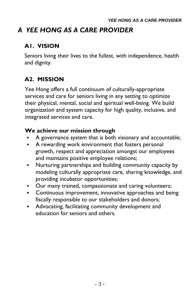# *A YEE HONG AS A CARE PROVIDER*

### **A1. VISION**

Seniors living their lives to the fullest, with independence, health and dignity.

# **A2. MISSION**

Yee Hong offers a full continuum of culturally-appropriate services and care for seniors living in any setting to optimize their physical, mental, social and spiritual well-being. We build organization and system capacity for high quality, inclusive, and integrated services and care.

#### **We achieve our mission through**

- A governance system that is both visionary and accountable;
- A rewarding work environment that fosters personal growth, respect and appreciation amongst our employees and maintains positive employee relations;
- Nurturing partnerships and building community capacity by modeling culturally appropriate care, sharing knowledge, and providing incubator opportunities;
- Our many trained, compassionate and caring volunteers;
- **•** Continuous improvement, innovative approaches and being fiscally responsible to our stakeholders and donors;
- **Advocating, facilitating community development and** education for seniors and others.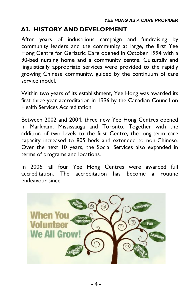### **A3. HISTORY AND DEVELOPMENT**

After years of industrious campaign and fundraising by community leaders and the community at large, the first Yee Hong Centre for Geriatric Care opened in October 1994 with a 90-bed nursing home and a community centre. Culturally and linguistically appropriate services were provided to the rapidly growing Chinese community, guided by the continuum of care service model.

Within two years of its establishment, Yee Hong was awarded its first three-year accreditation in 1996 by the Canadian Council on Health Services Accreditation.

Between 2002 and 2004, three new Yee Hong Centres opened in Markham, Mississauga and Toronto. Together with the addition of two levels to the first Centre, the long-term care capacity increased to 805 beds and extended to non-Chinese. Over the next 10 years, the Social Services also expanded in terms of programs and locations.

In 2006, all four Yee Hong Centres were awarded full accreditation. The accreditation has become a routine endeavour since.

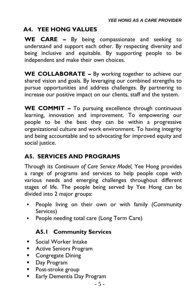#### **A4. YEE HONG VALUES**

**WE CARE –** By being compassionate and seeking to understand and support each other. By respecting diversity and being inclusive and equitable. By supporting people to be independent and make their own choices.

**WE COLLABORATE –** By working together to achieve our shared vision and goals. By leveraging our combined strengths to pursue opportunities and address challenges. By partnering to increase our positive impact on our clients, staff and the system.

**WE COMMIT –** To pursuing excellence through continuous learning, innovation and improvement. To empowering our people to be the best they can be within a progressive organizational culture and work environment. To having integrity and being accountable and to advocating for improved equity and social justice.

#### **A5. SERVICES AND PROGRAMS**

Through its *Continuum of Care Service Model,* Yee Hong provides a range of programs and services to help people cope with various needs and emerging challenges throughout different stages of life. The people being served by Yee Hong can be divided into 2 major groups:

- People living on their own or with family (Community Services)
- People needing total care (Long Term Care)

#### **A5.1 Community Services**

- Social Worker Intake
- Active Seniors Program
- Congregate Dining
- Day Program
- Post-stroke group
- Early Dementia Day Program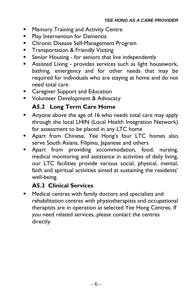- Memory Training and Activity Centre
- **Play Intervention for Dementia**
- **Chronic Disease Self-Management Program**
- **Transportation & Friendly Visiting**
- Senior Housing for seniors that live independently
- **E** Assisted Living provides services such as light housework, bathing, emergency and for other needs that may be required for individuals who are staying at home and do not need total care
- Caregiver Support and Education
- **E** Volunteer Development & Advocacy

#### **A5.2 Long Term Care Home**

- Anyone above the age of 16 who needs total care may apply through the local LHIN (Local Health Integration Network) for assessment to be placed in any LTC home
- **E** Apart from Chinese, Yee Hong's four LTC homes also serve South Asians, Filipino, Japanese and others
- Apart from providing accommodation, food, nursing, medical monitoring and assistance in activities of daily living, our LTC facilities provide various social, physical, mental, faith and spiritual activities aimed at sustaining the residents' well-being.

#### **A5.3 Clinical Services**

▪ Medical centres with family doctors and specialists and rehabilitation centres with physiotherapists and occupational therapists are in operation at selected Yee Hong Centres. If you need related services, please contact the centres directly.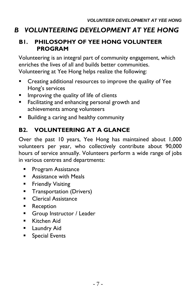# *B VOLUNTEERING DEVELOPMENT AT YEE HONG*

#### **B1. PHILOSOPHY OF YEE HONG VOLUNTEER PROGRAM**

Volunteering is an integral part of community engagement, which enriches the lives of all and builds better communities. Volunteering at Yee Hong helps realize the following:

- **EXECT** Creating additional resources to improve the quality of Yee Hong's services
- **E** Improving the quality of life of clients
- **EXECTE Facilitating and enhancing personal growth and** achievements among volunteers
- Building a caring and healthy community

# **B2. VOLUNTEERING AT A GLANCE**

Over the past 10 years, Yee Hong has maintained about 1,000 volunteers per year, who collectively contribute about 90,000 hours of service annually. Volunteers perform a wide range of jobs in various centres and departments:

- **•** Program Assistance
- Assistance with Meals
- **Example Visiting**
- **Transportation (Drivers)**
- Clerical Assistance
- Reception
- **Group Instructor / Leader**
- Kitchen Aid
- **E** Laundry Aid
- Special Events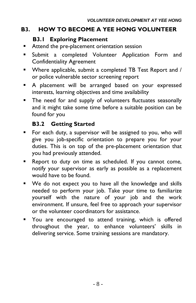### **B3. HOW TO BECOME A YEE HONG VOLUNTEER**

#### **B3.1 Exploring Placement**

- Attend the pre-placement orientation session
- **E** Submit a completed Volunteer Application Form and Confidentiality Agreement
- Where applicable, submit a completed TB Test Report and / or police vulnerable sector screening report
- A placement will be arranged based on your expressed interests, learning objectives and time availability
- **The need for and supply of volunteers fluctuates seasonally** and it might take some time before a suitable position can be found for you

#### **B3.2 Getting Started**

- For each duty, a supervisor will be assigned to you, who will give you job-specific orientation to prepare you for your duties. This is on top of the pre-placement orientation that you had previously attended.
- Report to duty on time as scheduled. If you cannot come, notify your supervisor as early as possible as a replacement would have to be found.
- We do not expect you to have all the knowledge and skills needed to perform your job. Take your time to familiarize yourself with the nature of your job and the work environment. If unsure, feel free to approach your supervisor or the volunteer coordinators for assistance.
- You are encouraged to attend training, which is offered throughout the year, to enhance volunteers' skills in delivering service. Some training sessions are mandatory.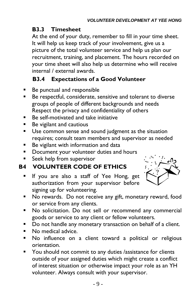#### **B3.3 Timesheet**

At the end of your duty, remember to fill in your time sheet. It will help us keep track of your involvement, give us a picture of the total volunteer service and help us plan our recruitment, training, and placement. The hours recorded on your time sheet will also help us determine who will receive internal / external awards.

# **B3.4 Expectations of a Good Volunteer**

- Be punctual and responsible
- Be respectful, considerate, sensitive and tolerant to diverse groups of people of different backgrounds and needs Respect the privacy and confidentiality of others
- Be self-motivated and take initiative
- Be vigilant and cautious
- Use common sense and sound judgment as the situation requires; consult team members and supervisor as needed
- Be vigilant with information and data
- Document your volunteer duties and hours
- Seek help from supervisor

# **B4 VOLUNTEER CODE OF ETHICS**

**If you are also a staff of Yee Hong, get** authorization from your supervisor before signing up for volunteering.



- No rewards. Do not receive any gift, monetary reward, food or service from any clients.
- No solicitation. Do not sell or recommend any commercial goods or service to any client or fellow volunteers.
- Do not handle any monetary transaction on behalf of a client.
- No medical advice.
- No influence on a client toward a political or religious orientation.
- You should not commit to any duties /assistance for clients outside of your assigned duties which might create a conflict of interest situation or otherwise impact your role as an YH volunteer. Always consult with your supervisor.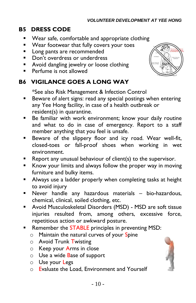#### **B5 DRESS CODE**

- Wear safe, comfortable and appropriate clothing
- Wear footwear that fully covers your toes
- **E** Long pants are recommended
- Don't overdress or underdress
- Avoid dangling jewelry or loose clothing
- **•** Perfume is not allowed

# **B6 VIGILANCE GOES A LONG WAY**

\*See also Risk Management & Infection Control

- **E** Beware of alert signs: read any special postings when entering any Yee Hong facility, in case of a health outbreak or resident(s) in quarantine.
- Be familiar with work environment; know your daily routine and what to do in case of emergency. Report to a staff member anything that you feel is unsafe.
- **E** Beware of the slippery floor and icy road. Wear well-fit, closed-toes or fall-proof shoes when working in wet environment.
- $\blacksquare$  Report any unusual behaviour of client(s) to the supervisor.
- Know your limits and always follow the proper way in moving furniture and bulky items.
- **E** Always use a ladder properly when completing tasks at height to avoid injury
- Never handle any hazardous materials bio-hazardous, chemical, clinical, soiled clothing, etc.
- Avoid Musculoskeletal Disorders (MSD) MSD are soft tissue injuries resulted from, among others, excessive force, repetitious action or awkward posture.
- **E** Remember the **STABLE** principles in preventing MSD:
	- $\circ$  Maintain the natural curves of your Spine
	- o Avoid Trunk Twisting
	- o Keep your Arms in close
	- o Use a wide Base of support
	- o Use your Legs
	- o Evaluate the Load, Environment and Yourself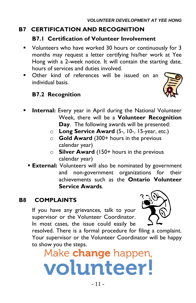# **B7 CERTIFICATION AND RECOGNITION**

#### **B7.1 Certification of Volunteer Involvement**

- Volunteers who have worked 30 hours or continuously for 3 months may request a letter certifying his/her work at Yee Hong with a 2-week notice. It will contain the starting date, hours of services and duties involved.
- Other kind of references will be issued on an individual basis.

#### **B7.2 Recognition**



- **Internal:** Every year in April during the National Volunteer Week, there will be a **Volunteer Recognition Day**. The following awards will be presented:
	- o **Long Service Award** (5-, 10-, 15-year, etc.)
	- o **Gold Award** (300+ hours in the previous calendar year)
	- o **Silver Award** (150+ hours in the previous calendar year)
	- **External:** Volunteers will also be nominated by government and non-government organizations for their achievements such as the **Ontario Volunteer Service Awards**.

#### **B8 COMPLAINTS**

If you have any grievances, talk to your supervisor or the Volunteer Coordinator. In most cases, the issue could easily be



resolved. There is a formal procedure for filing a complaint. Your supervisor or the Volunteer Coordinator will be happy to show you the steps.

Make change happen, volunteer!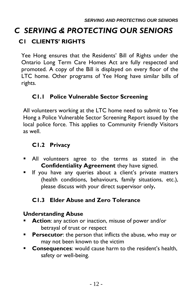# *C SERVING & PROTECTING OUR SENIORS* **C1 CLIENTS' RIGHTS**

Yee Hong ensures that the Residents' Bill of Rights under the Ontario Long Term Care Homes Act are fully respected and promoted. A copy of the Bill is displayed on every floor of the LTC home. Other programs of Yee Hong have similar bills of rights.

# **C1.1 Police Vulnerable Sector Screening**

All volunteers working at the LTC home need to submit to Yee Hong a Police Vulnerable Sector Screening Report issued by the local police force. This applies to Community Friendly Visitors as well.

### **C1.2 Privacy**

- All volunteers agree to the terms as stated in the **Confidentiality Agreement** they have signed.
- **EXT** If you have any queries about a client's private matters (health conditions, behaviours, family situations, etc.), please discuss with your direct supervisor only**.**

# **C1.3 Elder Abuse and Zero Tolerance**

#### **Understanding Abuse**

- **EXTERN Action:** any action or inaction, misuse of power and/or betrayal of trust or respect
- **Persecutor:** the person that inflicts the abuse, who may or may not been known to the victim
- **Consequences**: would cause harm to the resident's health, safety or well-being.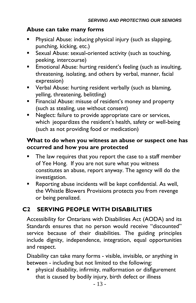#### **Abuse can take many forms**

- Physical Abuse: inducing physical injury (such as slapping, punching, kicking, etc.)
- Sexual Abuse: sexual-oriented activity (such as touching, peeking, intercourse)
- **Emotional Abuse: hurting resident's feeling (such as insulting,** threatening, isolating, and others by verbal, manner, facial expression)
- Verbal Abuse: hurting resident verbally (such as blaming, yelling, threatening, belittling)
- **EXECT** Financial Abuse: misuse of resident's money and property (such as stealing, use without consent)
- Neglect: failure to provide appropriate care or services, which jeopardizes the resident's health, safety or well-being (such as not providing food or medication)

#### **What to do when you witness an abuse or suspect one has occurred and how you are protected**

- The law requires that you report the case to a staff member of Yee Hong. If you are not sure what you witness constitutes an abuse, report anyway. The agency will do the investigation.
- Reporting abuse incidents will be kept confidential. As well, the Whistle Blowers Provisions protects you from revenge or being penalized.

# **C2 SERVING PEOPLE WITH DISABILITIES**

Accessibility for Ontarians with Disabilities Act (AODA) and its Standards ensures that no person would receive "discounted" service because of their disabilities. The guiding principles include dignity, independence, integration, equal opportunities and respect.

Disability can take many forms - visible, invisible, or anything in between - including but not limited to the following:

physical disability, infirmity, malformation or disfigurement that is caused by bodily injury, birth defect or illness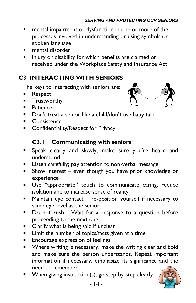- mental impairment or dysfunction in one or more of the processes involved in understanding or using symbols or spoken language
- mental disorder
- injury or disability for which benefits are claimed or received under the Workplace Safety and Insurance Act

# **C3 INTERACTING WITH SENIORS**

The keys to interacting with seniors are:

- **Respect**
- **■** Trustworthy
- Patience
- Don't treat a senior like a child/don't use baby talk
- Consistence
- Confidentiality/Respect for Privacy

#### **C3.1 Communicating with seniors**

- Speak clearly and slowly; make sure you're heard and understood
- Listen carefully; pay attention to non-verbal message
- Show interest even though you have prior knowledge or experience
- Use "appropriate" touch to communicate caring, reduce isolation and to increase sense of reality
- Maintain eye contact  $-$  re-position yourself if necessary to same eye-level as the senior
- Do not rush Wait for a response to a question before proceeding to the next one
- Clarify what is being said if unclear
- Limit the number of topics/facts given at a time
- **Encourage expression of feelings**
- Where writing is necessary, make the writing clear and bold and make sure the person understands. Repeat important information if necessary, emphasize its significance and the need to remember
- When giving instruction(s), go step-by-step clearly



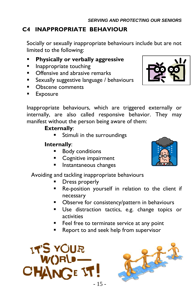# **C4 INAPPROPRIATE BEHAVIOUR**

Socially or sexually inappropriate behaviours include but are not limited to the following:

- **Physically or verbally aggressive**
- Inappropriate touching
- Offensive and abrasive remarks
- Sexually suggestive language / behaviours
- Obscene comments
- **Exposure**



Inappropriate behaviours, which are triggered externally or internally, are also called responsive behavior. They may manifest without the person being aware of them:

#### **Externally**:

**EXTENUIS IN STANDI** Stimuli in the surroundings

#### **Internally**:

- Body conditions
- Cognitive impairment
- Instantaneous changes

#### Avoiding and tackling inappropriate behaviours

- Dress properly
- Re-position yourself in relation to the client if necessary
- Observe for consistency/pattern in behaviours
- **Use distraction tactics, e.g. change topics or** activities
- Feel free to terminate service at any point
- Report to and seek help from supervisor





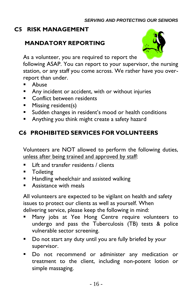#### **C5 RISK MANAGEMENT**

### **MANDATORY REPORTING**



As a volunteer, you are required to report the

following ASAP. You can report to your supervisor, the nursing station, or any staff you come across. We rather have you overreport than under.

- Abuse
- Any incident or accident, with or without injuries
- **EXECONFLICT between residents**
- **E** Missing resident(s)
- Sudden changes in resident's mood or health conditions
- **E** Anything you think might create a safety hazard

# **C6 PROHIBITED SERVICES FOR VOLUNTEERS**

Volunteers are NOT allowed to perform the following duties, unless after being trained and approved by staff:

- Lift and transfer residents / clients
- Toileting
- Handling wheelchair and assisted walking
- **E** Assistance with meals

All volunteers are expected to be vigilant on health and safety issues to protect our clients as well as yourself. When delivering service, please keep the following in mind:

- Many jobs at Yee Hong Centre require volunteers to undergo and pass the Tuberculosis (TB) tests & police vulnerable sector screening.
- Do not start any duty until you are fully briefed by your supervisor.
- Do not recommend or administer any medication or treatment to the client, including non-potent lotion or simple massaging.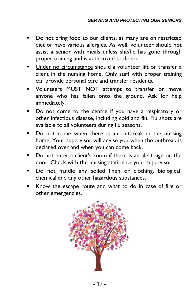- Do not bring food to our clients, as many are on restricted diet or have various allergies. As well, volunteer should not assist a senior with meals unless she/he has gone through proper training and is authorized to do so.
- Under no circumstance should a volunteer lift or transfer a client in the nursing home. Only staff with proper training can provide personal care and transfer residents.
- Volunteers MUST NOT attempt to transfer or move anyone who has fallen onto the ground. Ask for help immediately.
- Do not come to the centre if you have a respiratory or other infectious disease, including cold and flu. Flu shots are available to all volunteers during flu seasons.
- Do not come when there is an outbreak in the nursing home. Your supervisor will advise you when the outbreak is declared over and when you can come back.
- Do not enter a client's room if there is an alert sign on the door. Check with the nursing station or your supervisor.
- Do not handle any soiled linen or clothing, biological, chemical and any other hazardous substances.
- Know the escape route and what to do in case of fire or other emergencies.

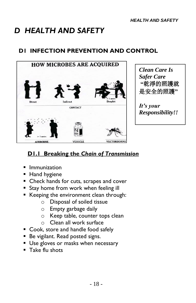# *D HEALTH AND SAFETY*

# **D1 INFECTION PREVENTION AND CONTROL**



# **D1.1 Breaking the** *Chain of Transmission*

- Immunization
- Hand hygiene
- Check hands for cuts, scrapes and cover
- **Example 5 Stay home from work when feeling ill**
- Keeping the environment clean through:
	- o Disposal of soiled tissue
	- o Empty garbage daily
	- o Keep table, counter tops clean
	- o Clean all work surface
- Cook, store and handle food safely
- Be vigilant. Read posted signs.
- **Use gloves or masks when necessary**
- Take flu shots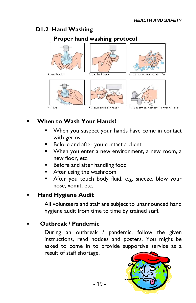### **D1.2 Hand Washing**

#### **Proper hand washing protocol**



# **When to Wash Your Hands?**

- When you suspect your hands have come in contact with germs
- **Before and after you contact a client**
- When you enter a new environment, a new room, a new floor, etc.
- Before and after handling food
- After using the washroom
- After you touch body fluid, e.g. sneeze, blow your nose, vomit, etc.

#### **Hand Hygiene Audit**

All volunteers and staff are subject to unannounced hand hygiene audit from time to time by trained staff.

#### **Outbreak / Pandemic**

During an outbreak / pandemic, follow the given instructions, read notices and posters. You might be asked to come in to provide supportive service as a result of staff shortage.

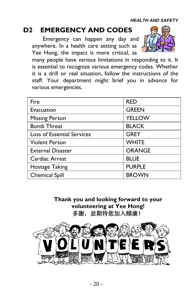# **D2 EMERGENCY AND CODES**

Emergency can happen any day and anywhere. In a health care setting such as Yee Hong, the impact is more critical, as



many people have various limitations in responding to it. It is essential to recognize various emergency codes. Whether it is a drill or real situation, follow the instructions of the staff. Your department might brief you in advance for various emergencies.

| Fire                              | <b>RED</b>    |  |
|-----------------------------------|---------------|--|
| Evacuation                        | <b>GREEN</b>  |  |
| <b>Missing Person</b>             | <b>YELLOW</b> |  |
| <b>Bomb Threat</b>                | <b>BLACK</b>  |  |
| <b>Loss of Essential Services</b> | <b>GREY</b>   |  |
| <b>Violent Person</b>             | <b>WHITE</b>  |  |
| <b>External Disaster</b>          | <b>ORANGE</b> |  |
| Cardiac Arrest                    | <b>BLUE</b>   |  |
| <b>Hostage Taking</b>             | <b>PURPLE</b> |  |
| <b>Chemical Spill</b>             | <b>BROWN</b>  |  |

**Thank you and looking forward to your volunteering at Yee Hong!** 多謝,並期待您加入頤康!

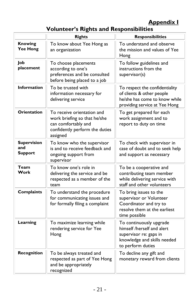# **Appendix I**

# **Volunteer's Rights and Responsibilities**

|                                             | <b>Rights</b>                                                                                                                   | <b>Responsibilities</b>                                                                                                             |
|---------------------------------------------|---------------------------------------------------------------------------------------------------------------------------------|-------------------------------------------------------------------------------------------------------------------------------------|
| <b>Knowing</b><br>Yee Hong                  | To know about Yee Hong as<br>an organization                                                                                    | To understand and observe<br>the mission and values of Yee<br>Hong                                                                  |
| Job<br>placement                            | To choose placements<br>according to one's<br>preferences and be consulted<br>before being placed to a job                      | To follow guidelines and<br>instructions from the<br>supervisor(s)                                                                  |
| <b>Information</b>                          | To be trusted with<br>information necessary for<br>delivering service                                                           | To respect the confidentiality<br>of clients & other people<br>he/she has come to know while<br>providing service at Yee Hong       |
| <b>Orientation</b>                          | To receive orientation and<br>work briefing so that he/she<br>can comfortably and<br>confidently perform the duties<br>assigned | To get prepared for each<br>work assignment and to<br>report to duty on time                                                        |
| <b>Supervision</b><br>and<br><b>Support</b> | To know who the supervisor<br>is and to receive feedback and<br>ongoing support from<br>supervisor                              | To check with supervisor in<br>case of doubt and to seek help<br>and support as necessary                                           |
| Team<br>Work                                | To know one's role in<br>delivering the service and be<br>respected as a member of the<br>team                                  | To be a cooperative and<br>contributing team member<br>while delivering service with<br>staff and other volunteers                  |
| <b>Complaints</b>                           | To understand the procedure<br>for communicating issues and<br>for formally filing a complaint                                  | To bring issues to the<br>supervisor or Volunteer<br>Coordinator and try to<br>resolve them at the earliest<br>time possible        |
| Learning                                    | To maximize learning while<br>rendering service for Yee<br>Hong                                                                 | To continuously upgrade<br>himself /herself and alert<br>supervisor re: gaps in<br>knowledge and skills needed<br>to perform duties |
| Recognition                                 | To be always treated and<br>respected as part of Yee Hong<br>and be appropriately<br>recognized                                 | To decline any gift and<br>monetary reward from clients                                                                             |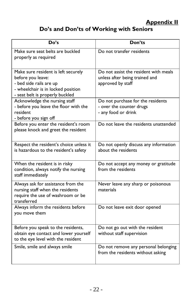# **Appendix II**

# **Do's and Don'ts of Working with Seniors**

| Do's                                                                                                                                                         | Don'ts                                                                                       |
|--------------------------------------------------------------------------------------------------------------------------------------------------------------|----------------------------------------------------------------------------------------------|
| Make sure seat belts are buckled<br>properly as required                                                                                                     | Do not transfer residents                                                                    |
| Make sure resident is left securely<br>before you leave:<br>- bed side rails are up<br>- wheelchair is in locked position<br>- seat belt is properly buckled | Do not assist the resident with meals<br>unless after being trained and<br>approved by staff |
| Acknowledge the nursing staff<br>- before you leave the floor with the<br>resident<br>- before you sign off                                                  | Do not purchase for the residents<br>- over the counter drugs<br>- any food or drink         |
| Before you enter the resident's room<br>please knock and greet the resident                                                                                  | Do not leave the residents unattended                                                        |
| Respect the resident's choice unless it<br>is hazardous to the resident's safety                                                                             | Do not openly discuss any information<br>about the residents                                 |
| When the resident is in risky<br>condition, always notify the nursing<br>staff immediately                                                                   | Do not accept any money or gratitude<br>from the residents                                   |
| Always ask for assistance from the<br>nursing staff when the residents<br>require the use of washroom or be<br>transferred                                   | Never leave any sharp or poisonous<br>materials                                              |
| Always inform the residents before<br>you move them                                                                                                          | Do not leave exit door opened                                                                |
| Before you speak to the residents,<br>obtain eye contact and lower yourself<br>to the eye level with the resident                                            | Do not go out with the resident<br>without staff supervision                                 |
| Smile, smile and always smile                                                                                                                                | Do not remove any personal belonging<br>from the residents without asking                    |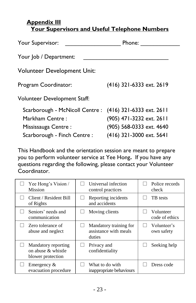#### **Appendix III Your Supervisors and Useful Telephone Numbers**

| Your Supervisor:                                         | Phone:                   |  |  |  |
|----------------------------------------------------------|--------------------------|--|--|--|
| Your Job / Department:                                   |                          |  |  |  |
| <b>Volunteer Development Unit:</b>                       |                          |  |  |  |
| Program Coordinator:                                     | (416) 321-6333 ext. 2619 |  |  |  |
| Volunteer Development Staff:                             |                          |  |  |  |
| Scarborough - McNicoll Centre : (416) 321-6333 ext. 2611 |                          |  |  |  |
| Markham Centre:                                          | (905) 471-3232 ext. 2611 |  |  |  |
| Mississauga Centre:                                      | (905) 568-0333 ext. 4640 |  |  |  |
| Scarborough - Finch Centre :                             | (416) 321-3000 ext. 5641 |  |  |  |

This Handbook and the orientation session are meant to prepare you to perform volunteer service at Yee Hong**.** If you have any questions regarding the following, please contact your Volunteer Coordinator.

| Yee Hong's Vision /<br><b>Mission</b>                             | Universal infection<br>control practices                  | Police records<br>check     |
|-------------------------------------------------------------------|-----------------------------------------------------------|-----------------------------|
| Client / Resident Bill<br>of Rights                               | Reporting incidents<br>and accidents                      | TB tests                    |
| Seniors' needs and<br>communication                               | Moving clients                                            | Volunteer<br>code of ethics |
| Zero tolerance of<br>abuse and neglect                            | Mandatory training for<br>assistance with meals<br>duties | Volunteer's<br>own safety   |
| Mandatory reporting<br>on abuse $\&$ whistle<br>blower protection | Privacy and<br>confidentiality                            | Seeking help                |
| Emergency $\&$<br>evacuation procedure                            | What to do with<br>inappropriate behaviours               | Dress code                  |